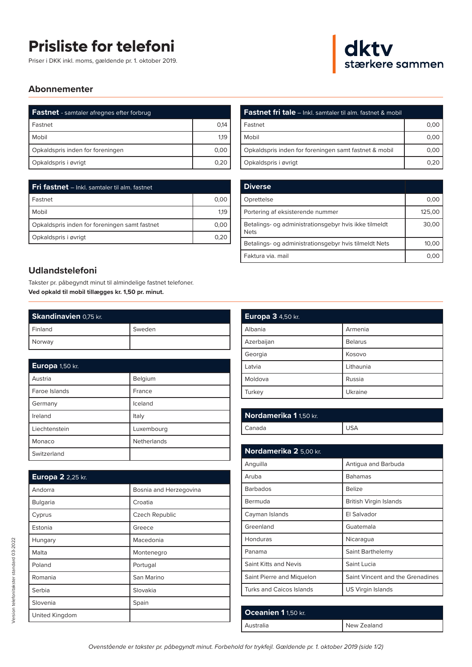## **Prisliste for telefoni**

Priser i DKK inkl. moms, gældende pr. 1. oktober 2019.



## **Abonnementer**

| <b>Fastnet</b> - samtaler afregnes efter forbrug |      |
|--------------------------------------------------|------|
| Fastnet                                          | 0.14 |
| Mobil                                            | 1,19 |
| Opkaldspris inden for foreningen                 | 0,00 |
| Opkaldspris i øvrigt                             | 0.20 |

| Fri fastnet - Inkl. samtaler til alm. fastnet |      |
|-----------------------------------------------|------|
| l Fastnet                                     | 0.00 |
| Mobil                                         | 1.19 |
| Opkaldspris inden for foreningen samt fastnet | 0.00 |
| Opkaldspris i øvrigt                          | 0.20 |

## **Udlandstelefoni**

Takster pr. påbegyndt minut til almindelige fastnet telefoner. **Ved opkald til mobil tillægges kr. 1,50 pr. minut.**

| Skandinavien 0,75 kr. |        |
|-----------------------|--------|
| l Finland             | Sweden |
| Norway                |        |

| Europa 1,50 kr. |             |
|-----------------|-------------|
| Austria         | Belgium     |
| Faroe Islands   | France      |
| Germany         | Iceland     |
| Ireland         | Italy       |
| Liechtenstein   | Luxembourg  |
| Monaco          | Netherlands |
| Switzerland     |             |

| Europa 2 2,25 kr. |                        |
|-------------------|------------------------|
| Andorra           | Bosnia and Herzegovina |
| Bulgaria          | Croatia                |
| Cyprus            | Czech Republic         |
| Estonia           | Greece                 |
| Hungary           | Macedonia              |
| Malta             | Montenegro             |
| Poland            | Portugal               |
| Romania           | San Marino             |
| Serbia            | Slovakia               |
| Slovenia          | Spain                  |
| United Kingdom    |                        |

| <b>Fastnet fri tale</b> – Inkl. samtaler til alm. fastnet & mobil |      |
|-------------------------------------------------------------------|------|
| Fastnet                                                           | 0,00 |
| Mobil                                                             | 0,00 |
| Opkaldspris inden for foreningen samt fastnet & mobil             | 0.00 |
| Opkaldspris i øvrigt                                              |      |

| <b>Diverse</b>                                                       |        |
|----------------------------------------------------------------------|--------|
| Oprettelse                                                           | 0,00   |
| Portering af eksisterende nummer                                     | 125,00 |
| Betalings- og administrationsgebyr hvis ikke tilmeldt<br><b>Nets</b> | 30,00  |
| Betalings- og administrationsgebyr hvis tilmeldt Nets                | 10,00  |
| Faktura via, mail                                                    | 0.00   |

| Europa 3 4,50 kr. |                |
|-------------------|----------------|
| Albania           | Armenia        |
| Azerbaijan        | <b>Belarus</b> |
| Georgia           | Kosovo         |
| Latvia            | Lithaunia      |
| Moldova           | Russia         |
| Turkey            | Ukraine        |

| Nordamerika 1 1,50 kr. |       |
|------------------------|-------|
| Canada                 | ' USA |

| Antigua and Barbuda              |
|----------------------------------|
| <b>Bahamas</b>                   |
| Belize                           |
| British Virgin Islands           |
| El Salvador                      |
| Guatemala                        |
| Nicaragua                        |
| Saint Barthelemy                 |
| Saint Lucia                      |
| Saint Vincent and the Grenadines |
| US Virgin Islands                |
|                                  |

| Oceanien 1 1,50 kr. |             |
|---------------------|-------------|
| l Australia         | New Zealand |